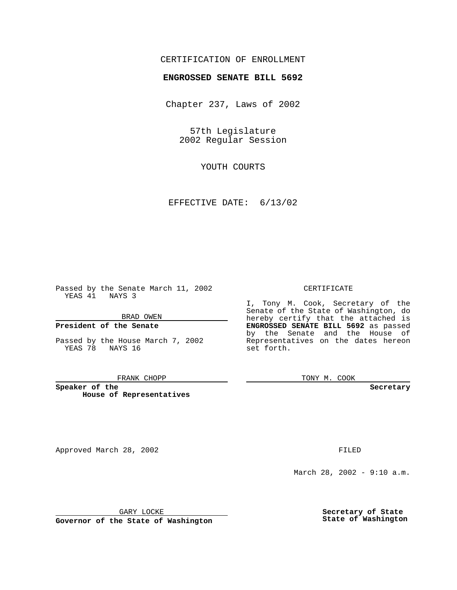## CERTIFICATION OF ENROLLMENT

# **ENGROSSED SENATE BILL 5692**

Chapter 237, Laws of 2002

57th Legislature 2002 Regular Session

YOUTH COURTS

EFFECTIVE DATE: 6/13/02

Passed by the Senate March 11, 2002 YEAS 41 NAYS 3

BRAD OWEN

### **President of the Senate**

Passed by the House March 7, 2002 YEAS 78 NAYS 16

#### FRANK CHOPP

**Speaker of the House of Representatives**

Approved March 28, 2002 **FILED** 

#### CERTIFICATE

I, Tony M. Cook, Secretary of the Senate of the State of Washington, do hereby certify that the attached is **ENGROSSED SENATE BILL 5692** as passed by the Senate and the House of Representatives on the dates hereon set forth.

TONY M. COOK

**Secretary**

March 28, 2002 - 9:10 a.m.

GARY LOCKE

**Governor of the State of Washington**

**Secretary of State State of Washington**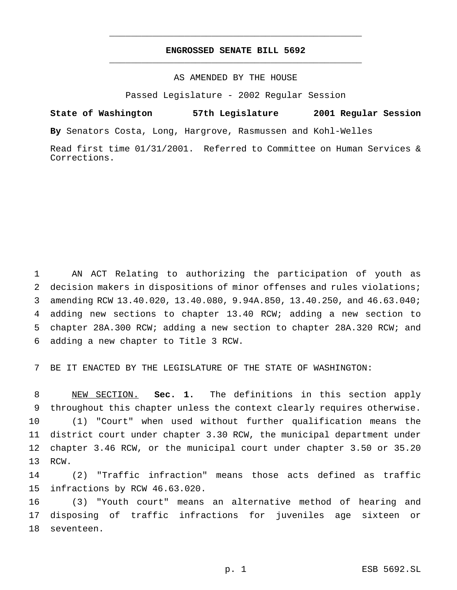## **ENGROSSED SENATE BILL 5692** \_\_\_\_\_\_\_\_\_\_\_\_\_\_\_\_\_\_\_\_\_\_\_\_\_\_\_\_\_\_\_\_\_\_\_\_\_\_\_\_\_\_\_\_\_\_\_

\_\_\_\_\_\_\_\_\_\_\_\_\_\_\_\_\_\_\_\_\_\_\_\_\_\_\_\_\_\_\_\_\_\_\_\_\_\_\_\_\_\_\_\_\_\_\_

### AS AMENDED BY THE HOUSE

Passed Legislature - 2002 Regular Session

**State of Washington 57th Legislature 2001 Regular Session**

**By** Senators Costa, Long, Hargrove, Rasmussen and Kohl-Welles

Read first time 01/31/2001. Referred to Committee on Human Services & Corrections.

 AN ACT Relating to authorizing the participation of youth as decision makers in dispositions of minor offenses and rules violations; amending RCW 13.40.020, 13.40.080, 9.94A.850, 13.40.250, and 46.63.040; adding new sections to chapter 13.40 RCW; adding a new section to chapter 28A.300 RCW; adding a new section to chapter 28A.320 RCW; and adding a new chapter to Title 3 RCW.

BE IT ENACTED BY THE LEGISLATURE OF THE STATE OF WASHINGTON:

 NEW SECTION. **Sec. 1.** The definitions in this section apply throughout this chapter unless the context clearly requires otherwise. (1) "Court" when used without further qualification means the district court under chapter 3.30 RCW, the municipal department under chapter 3.46 RCW, or the municipal court under chapter 3.50 or 35.20 RCW.

 (2) "Traffic infraction" means those acts defined as traffic infractions by RCW 46.63.020.

 (3) "Youth court" means an alternative method of hearing and disposing of traffic infractions for juveniles age sixteen or seventeen.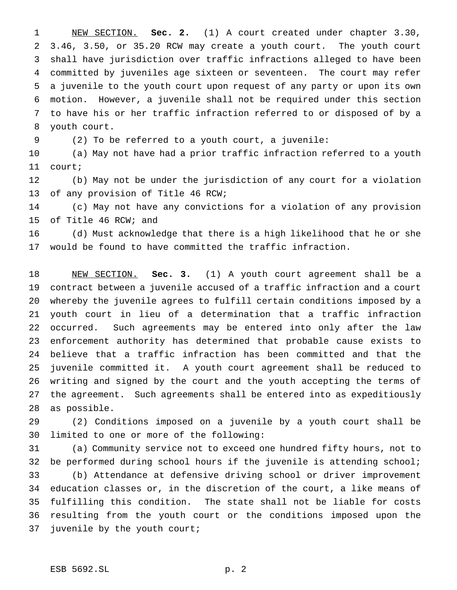NEW SECTION. **Sec. 2.** (1) A court created under chapter 3.30, 3.46, 3.50, or 35.20 RCW may create a youth court. The youth court shall have jurisdiction over traffic infractions alleged to have been committed by juveniles age sixteen or seventeen. The court may refer a juvenile to the youth court upon request of any party or upon its own motion. However, a juvenile shall not be required under this section to have his or her traffic infraction referred to or disposed of by a youth court.

(2) To be referred to a youth court, a juvenile:

 (a) May not have had a prior traffic infraction referred to a youth court;

 (b) May not be under the jurisdiction of any court for a violation of any provision of Title 46 RCW;

 (c) May not have any convictions for a violation of any provision of Title 46 RCW; and

 (d) Must acknowledge that there is a high likelihood that he or she would be found to have committed the traffic infraction.

 NEW SECTION. **Sec. 3.** (1) A youth court agreement shall be a contract between a juvenile accused of a traffic infraction and a court whereby the juvenile agrees to fulfill certain conditions imposed by a youth court in lieu of a determination that a traffic infraction occurred. Such agreements may be entered into only after the law enforcement authority has determined that probable cause exists to believe that a traffic infraction has been committed and that the juvenile committed it. A youth court agreement shall be reduced to writing and signed by the court and the youth accepting the terms of the agreement. Such agreements shall be entered into as expeditiously as possible.

 (2) Conditions imposed on a juvenile by a youth court shall be limited to one or more of the following:

 (a) Community service not to exceed one hundred fifty hours, not to be performed during school hours if the juvenile is attending school; (b) Attendance at defensive driving school or driver improvement education classes or, in the discretion of the court, a like means of fulfilling this condition. The state shall not be liable for costs resulting from the youth court or the conditions imposed upon the 37 juvenile by the youth court;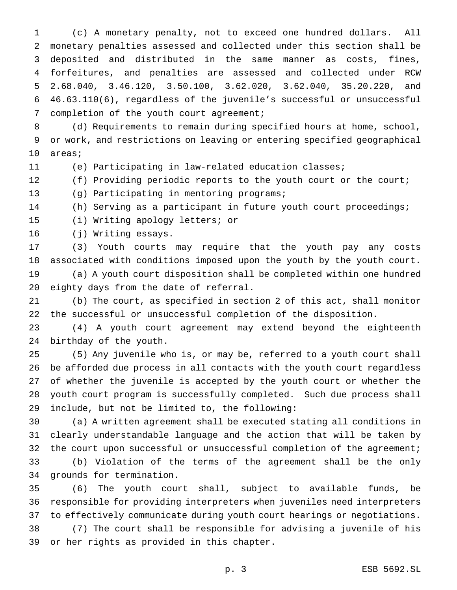(c) A monetary penalty, not to exceed one hundred dollars. All monetary penalties assessed and collected under this section shall be deposited and distributed in the same manner as costs, fines, forfeitures, and penalties are assessed and collected under RCW 2.68.040, 3.46.120, 3.50.100, 3.62.020, 3.62.040, 35.20.220, and 46.63.110(6), regardless of the juvenile's successful or unsuccessful completion of the youth court agreement;

 (d) Requirements to remain during specified hours at home, school, or work, and restrictions on leaving or entering specified geographical areas;

(e) Participating in law-related education classes;

12 (f) Providing periodic reports to the youth court or the court;

(g) Participating in mentoring programs;

(h) Serving as a participant in future youth court proceedings;

(i) Writing apology letters; or

(j) Writing essays.

 (3) Youth courts may require that the youth pay any costs associated with conditions imposed upon the youth by the youth court.

 (a) A youth court disposition shall be completed within one hundred eighty days from the date of referral.

 (b) The court, as specified in section 2 of this act, shall monitor the successful or unsuccessful completion of the disposition.

 (4) A youth court agreement may extend beyond the eighteenth birthday of the youth.

 (5) Any juvenile who is, or may be, referred to a youth court shall be afforded due process in all contacts with the youth court regardless of whether the juvenile is accepted by the youth court or whether the youth court program is successfully completed. Such due process shall include, but not be limited to, the following:

 (a) A written agreement shall be executed stating all conditions in clearly understandable language and the action that will be taken by the court upon successful or unsuccessful completion of the agreement;

 (b) Violation of the terms of the agreement shall be the only grounds for termination.

 (6) The youth court shall, subject to available funds, be responsible for providing interpreters when juveniles need interpreters to effectively communicate during youth court hearings or negotiations. (7) The court shall be responsible for advising a juvenile of his or her rights as provided in this chapter.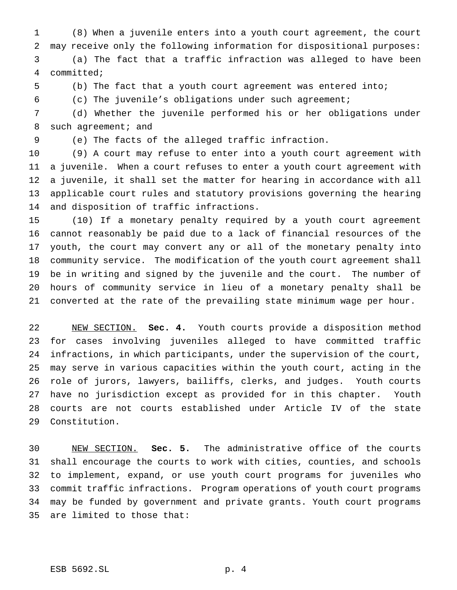(8) When a juvenile enters into a youth court agreement, the court may receive only the following information for dispositional purposes: (a) The fact that a traffic infraction was alleged to have been

committed;

(b) The fact that a youth court agreement was entered into;

(c) The juvenile's obligations under such agreement;

 (d) Whether the juvenile performed his or her obligations under 8 such agreement; and

(e) The facts of the alleged traffic infraction.

 (9) A court may refuse to enter into a youth court agreement with a juvenile. When a court refuses to enter a youth court agreement with a juvenile, it shall set the matter for hearing in accordance with all applicable court rules and statutory provisions governing the hearing and disposition of traffic infractions.

 (10) If a monetary penalty required by a youth court agreement cannot reasonably be paid due to a lack of financial resources of the youth, the court may convert any or all of the monetary penalty into community service. The modification of the youth court agreement shall be in writing and signed by the juvenile and the court. The number of hours of community service in lieu of a monetary penalty shall be converted at the rate of the prevailing state minimum wage per hour.

 NEW SECTION. **Sec. 4.** Youth courts provide a disposition method for cases involving juveniles alleged to have committed traffic infractions, in which participants, under the supervision of the court, may serve in various capacities within the youth court, acting in the role of jurors, lawyers, bailiffs, clerks, and judges. Youth courts have no jurisdiction except as provided for in this chapter. Youth courts are not courts established under Article IV of the state Constitution.

 NEW SECTION. **Sec. 5.** The administrative office of the courts shall encourage the courts to work with cities, counties, and schools to implement, expand, or use youth court programs for juveniles who commit traffic infractions. Program operations of youth court programs may be funded by government and private grants. Youth court programs are limited to those that: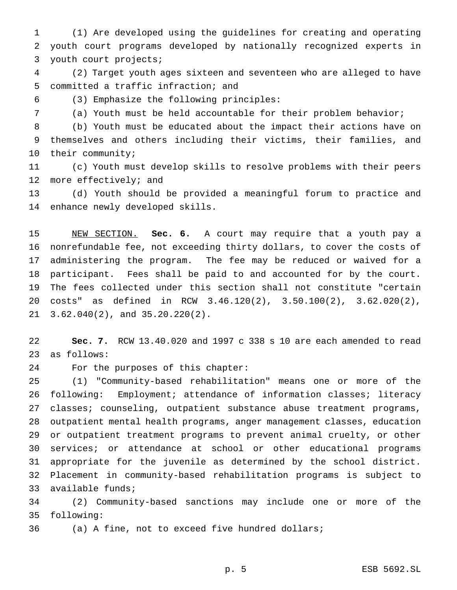(1) Are developed using the guidelines for creating and operating youth court programs developed by nationally recognized experts in youth court projects;

 (2) Target youth ages sixteen and seventeen who are alleged to have committed a traffic infraction; and

(3) Emphasize the following principles:

(a) Youth must be held accountable for their problem behavior;

 (b) Youth must be educated about the impact their actions have on themselves and others including their victims, their families, and their community;

 (c) Youth must develop skills to resolve problems with their peers more effectively; and

 (d) Youth should be provided a meaningful forum to practice and enhance newly developed skills.

 NEW SECTION. **Sec. 6.** A court may require that a youth pay a nonrefundable fee, not exceeding thirty dollars, to cover the costs of administering the program. The fee may be reduced or waived for a participant. Fees shall be paid to and accounted for by the court. The fees collected under this section shall not constitute "certain costs" as defined in RCW 3.46.120(2), 3.50.100(2), 3.62.020(2), 3.62.040(2), and 35.20.220(2).

 **Sec. 7.** RCW 13.40.020 and 1997 c 338 s 10 are each amended to read as follows:

For the purposes of this chapter:

 (1) "Community-based rehabilitation" means one or more of the following: Employment; attendance of information classes; literacy 27 classes; counseling, outpatient substance abuse treatment programs, outpatient mental health programs, anger management classes, education or outpatient treatment programs to prevent animal cruelty, or other services; or attendance at school or other educational programs appropriate for the juvenile as determined by the school district. Placement in community-based rehabilitation programs is subject to available funds;

 (2) Community-based sanctions may include one or more of the following:

(a) A fine, not to exceed five hundred dollars;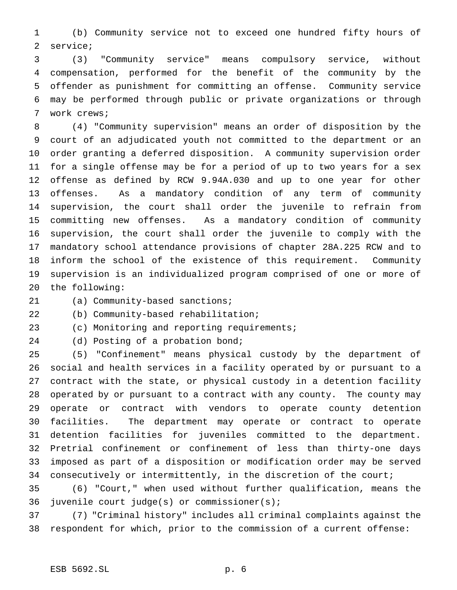(b) Community service not to exceed one hundred fifty hours of service;

 (3) "Community service" means compulsory service, without compensation, performed for the benefit of the community by the offender as punishment for committing an offense. Community service may be performed through public or private organizations or through work crews;

 (4) "Community supervision" means an order of disposition by the court of an adjudicated youth not committed to the department or an order granting a deferred disposition. A community supervision order for a single offense may be for a period of up to two years for a sex offense as defined by RCW 9.94A.030 and up to one year for other offenses. As a mandatory condition of any term of community supervision, the court shall order the juvenile to refrain from committing new offenses. As a mandatory condition of community supervision, the court shall order the juvenile to comply with the mandatory school attendance provisions of chapter 28A.225 RCW and to inform the school of the existence of this requirement. Community supervision is an individualized program comprised of one or more of the following:

(a) Community-based sanctions;

(b) Community-based rehabilitation;

(c) Monitoring and reporting requirements;

24 (d) Posting of a probation bond;

 (5) "Confinement" means physical custody by the department of social and health services in a facility operated by or pursuant to a contract with the state, or physical custody in a detention facility operated by or pursuant to a contract with any county. The county may operate or contract with vendors to operate county detention facilities. The department may operate or contract to operate detention facilities for juveniles committed to the department. Pretrial confinement or confinement of less than thirty-one days imposed as part of a disposition or modification order may be served consecutively or intermittently, in the discretion of the court;

 (6) "Court," when used without further qualification, means the juvenile court judge(s) or commissioner(s);

 (7) "Criminal history" includes all criminal complaints against the respondent for which, prior to the commission of a current offense: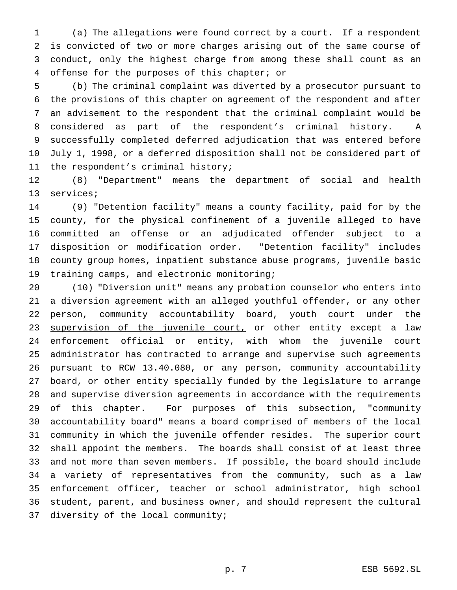(a) The allegations were found correct by a court. If a respondent is convicted of two or more charges arising out of the same course of conduct, only the highest charge from among these shall count as an offense for the purposes of this chapter; or

 (b) The criminal complaint was diverted by a prosecutor pursuant to the provisions of this chapter on agreement of the respondent and after an advisement to the respondent that the criminal complaint would be considered as part of the respondent's criminal history. A successfully completed deferred adjudication that was entered before July 1, 1998, or a deferred disposition shall not be considered part of the respondent's criminal history;

 (8) "Department" means the department of social and health services;

 (9) "Detention facility" means a county facility, paid for by the county, for the physical confinement of a juvenile alleged to have committed an offense or an adjudicated offender subject to a disposition or modification order. "Detention facility" includes county group homes, inpatient substance abuse programs, juvenile basic training camps, and electronic monitoring;

 (10) "Diversion unit" means any probation counselor who enters into a diversion agreement with an alleged youthful offender, or any other 22 person, community accountability board, youth court under the 23 supervision of the juvenile court, or other entity except a law enforcement official or entity, with whom the juvenile court administrator has contracted to arrange and supervise such agreements pursuant to RCW 13.40.080, or any person, community accountability board, or other entity specially funded by the legislature to arrange and supervise diversion agreements in accordance with the requirements of this chapter. For purposes of this subsection, "community accountability board" means a board comprised of members of the local community in which the juvenile offender resides. The superior court shall appoint the members. The boards shall consist of at least three and not more than seven members. If possible, the board should include a variety of representatives from the community, such as a law enforcement officer, teacher or school administrator, high school student, parent, and business owner, and should represent the cultural diversity of the local community;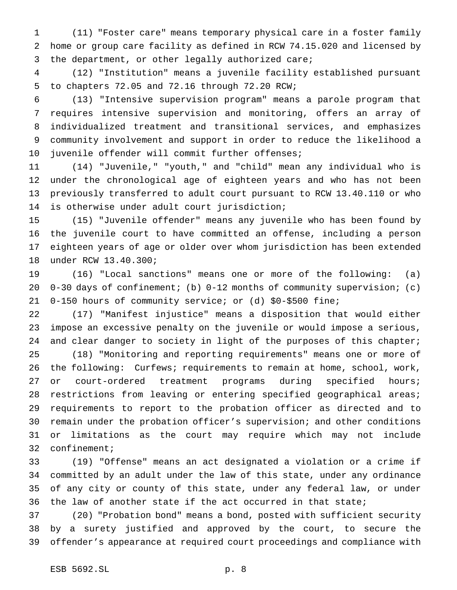(11) "Foster care" means temporary physical care in a foster family home or group care facility as defined in RCW 74.15.020 and licensed by the department, or other legally authorized care;

 (12) "Institution" means a juvenile facility established pursuant to chapters 72.05 and 72.16 through 72.20 RCW;

 (13) "Intensive supervision program" means a parole program that requires intensive supervision and monitoring, offers an array of individualized treatment and transitional services, and emphasizes community involvement and support in order to reduce the likelihood a juvenile offender will commit further offenses;

 (14) "Juvenile," "youth," and "child" mean any individual who is under the chronological age of eighteen years and who has not been previously transferred to adult court pursuant to RCW 13.40.110 or who is otherwise under adult court jurisdiction;

 (15) "Juvenile offender" means any juvenile who has been found by the juvenile court to have committed an offense, including a person eighteen years of age or older over whom jurisdiction has been extended under RCW 13.40.300;

 (16) "Local sanctions" means one or more of the following: (a) 0-30 days of confinement; (b) 0-12 months of community supervision; (c) 0-150 hours of community service; or (d) \$0-\$500 fine;

 (17) "Manifest injustice" means a disposition that would either impose an excessive penalty on the juvenile or would impose a serious, 24 and clear danger to society in light of the purposes of this chapter; (18) "Monitoring and reporting requirements" means one or more of the following: Curfews; requirements to remain at home, school, work, or court-ordered treatment programs during specified hours; restrictions from leaving or entering specified geographical areas; requirements to report to the probation officer as directed and to remain under the probation officer's supervision; and other conditions or limitations as the court may require which may not include confinement;

 (19) "Offense" means an act designated a violation or a crime if committed by an adult under the law of this state, under any ordinance of any city or county of this state, under any federal law, or under the law of another state if the act occurred in that state;

 (20) "Probation bond" means a bond, posted with sufficient security by a surety justified and approved by the court, to secure the offender's appearance at required court proceedings and compliance with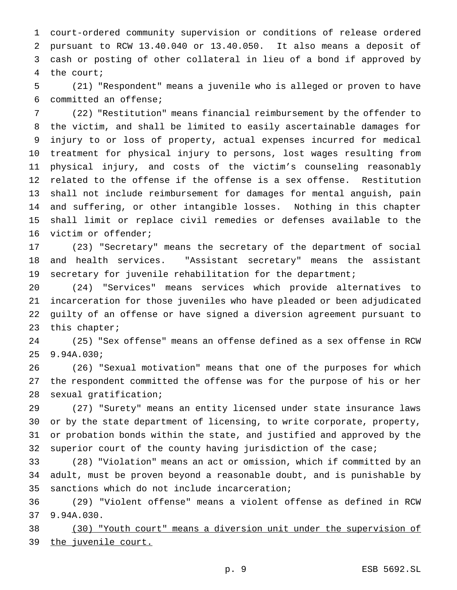court-ordered community supervision or conditions of release ordered pursuant to RCW 13.40.040 or 13.40.050. It also means a deposit of cash or posting of other collateral in lieu of a bond if approved by the court;

 (21) "Respondent" means a juvenile who is alleged or proven to have committed an offense;

 (22) "Restitution" means financial reimbursement by the offender to the victim, and shall be limited to easily ascertainable damages for injury to or loss of property, actual expenses incurred for medical treatment for physical injury to persons, lost wages resulting from physical injury, and costs of the victim's counseling reasonably related to the offense if the offense is a sex offense. Restitution shall not include reimbursement for damages for mental anguish, pain and suffering, or other intangible losses. Nothing in this chapter shall limit or replace civil remedies or defenses available to the victim or offender;

 (23) "Secretary" means the secretary of the department of social and health services. "Assistant secretary" means the assistant secretary for juvenile rehabilitation for the department;

 (24) "Services" means services which provide alternatives to incarceration for those juveniles who have pleaded or been adjudicated guilty of an offense or have signed a diversion agreement pursuant to this chapter;

 (25) "Sex offense" means an offense defined as a sex offense in RCW 9.94A.030;

 (26) "Sexual motivation" means that one of the purposes for which the respondent committed the offense was for the purpose of his or her sexual gratification;

 (27) "Surety" means an entity licensed under state insurance laws or by the state department of licensing, to write corporate, property, or probation bonds within the state, and justified and approved by the superior court of the county having jurisdiction of the case;

 (28) "Violation" means an act or omission, which if committed by an adult, must be proven beyond a reasonable doubt, and is punishable by sanctions which do not include incarceration;

 (29) "Violent offense" means a violent offense as defined in RCW 9.94A.030.

 (30) "Youth court" means a diversion unit under the supervision of the juvenile court.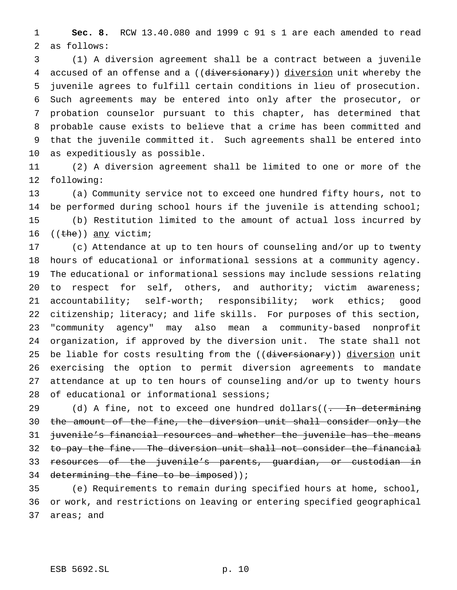**Sec. 8.** RCW 13.40.080 and 1999 c 91 s 1 are each amended to read as follows:

 (1) A diversion agreement shall be a contract between a juvenile 4 accused of an offense and a ((diversionary)) diversion unit whereby the juvenile agrees to fulfill certain conditions in lieu of prosecution. Such agreements may be entered into only after the prosecutor, or probation counselor pursuant to this chapter, has determined that probable cause exists to believe that a crime has been committed and that the juvenile committed it. Such agreements shall be entered into as expeditiously as possible.

 (2) A diversion agreement shall be limited to one or more of the following:

 (a) Community service not to exceed one hundred fifty hours, not to be performed during school hours if the juvenile is attending school; (b) Restitution limited to the amount of actual loss incurred by  $(\theta)$ ) any victim;

 (c) Attendance at up to ten hours of counseling and/or up to twenty hours of educational or informational sessions at a community agency. The educational or informational sessions may include sessions relating 20 to respect for self, others, and authority; victim awareness; 21 accountability; self-worth; responsibility; work ethics; good citizenship; literacy; and life skills. For purposes of this section, "community agency" may also mean a community-based nonprofit organization, if approved by the diversion unit. The state shall not 25 be liable for costs resulting from the ((diversionary)) diversion unit exercising the option to permit diversion agreements to mandate attendance at up to ten hours of counseling and/or up to twenty hours 28 of educational or informational sessions;

29 (d) A fine, not to exceed one hundred dollars((<del>. In determining</del> 30 the amount of the fine, the diversion unit shall consider only the juvenile's financial resources and whether the juvenile has the means 32 to pay the fine. The diversion unit shall not consider the financial resources of the juvenile's parents, guardian, or custodian in 34 determining the fine to be imposed));

 (e) Requirements to remain during specified hours at home, school, or work, and restrictions on leaving or entering specified geographical areas; and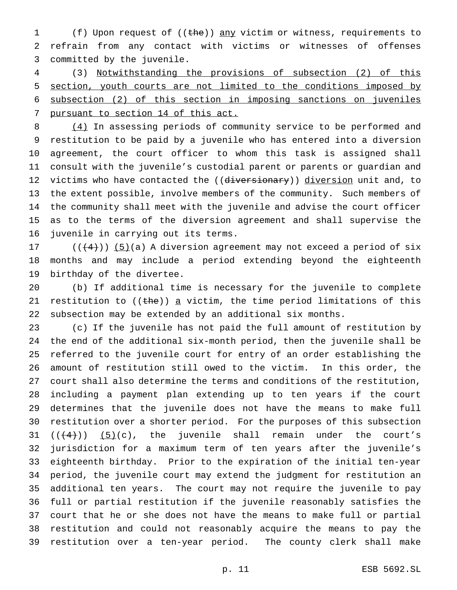1 (f) Upon request of ((the)) any victim or witness, requirements to refrain from any contact with victims or witnesses of offenses committed by the juvenile.

 (3) Notwithstanding the provisions of subsection (2) of this section, youth courts are not limited to the conditions imposed by subsection (2) of this section in imposing sanctions on juveniles pursuant to section 14 of this act.

8 (4) In assessing periods of community service to be performed and restitution to be paid by a juvenile who has entered into a diversion agreement, the court officer to whom this task is assigned shall consult with the juvenile's custodial parent or parents or guardian and 12 victims who have contacted the ((diversionary)) diversion unit and, to the extent possible, involve members of the community. Such members of the community shall meet with the juvenile and advise the court officer as to the terms of the diversion agreement and shall supervise the juvenile in carrying out its terms.

17  $((+4))$   $(5)(a)$  A diversion agreement may not exceed a period of six months and may include a period extending beyond the eighteenth birthday of the divertee.

 (b) If additional time is necessary for the juvenile to complete 21 restitution to  $((the))$  a victim, the time period limitations of this subsection may be extended by an additional six months.

 (c) If the juvenile has not paid the full amount of restitution by the end of the additional six-month period, then the juvenile shall be referred to the juvenile court for entry of an order establishing the amount of restitution still owed to the victim. In this order, the court shall also determine the terms and conditions of the restitution, including a payment plan extending up to ten years if the court determines that the juvenile does not have the means to make full restitution over a shorter period. For the purposes of this subsection  $((4+))$  (5)(c), the juvenile shall remain under the court's jurisdiction for a maximum term of ten years after the juvenile's eighteenth birthday. Prior to the expiration of the initial ten-year period, the juvenile court may extend the judgment for restitution an additional ten years. The court may not require the juvenile to pay full or partial restitution if the juvenile reasonably satisfies the court that he or she does not have the means to make full or partial restitution and could not reasonably acquire the means to pay the restitution over a ten-year period. The county clerk shall make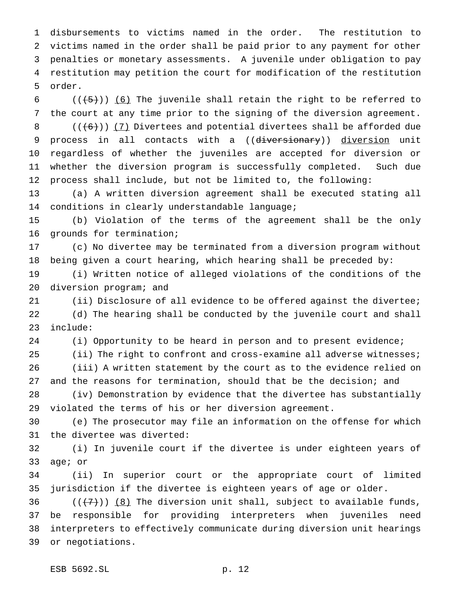disbursements to victims named in the order. The restitution to victims named in the order shall be paid prior to any payment for other penalties or monetary assessments. A juvenile under obligation to pay restitution may petition the court for modification of the restitution order.

6 ( $(\overline{5})$ ) (6) The juvenile shall retain the right to be referred to the court at any time prior to the signing of the diversion agreement.

 $((+6))$  (7) Divertees and potential divertees shall be afforded due 9 process in all contacts with a ((diversionary)) diversion unit regardless of whether the juveniles are accepted for diversion or whether the diversion program is successfully completed. Such due process shall include, but not be limited to, the following:

 (a) A written diversion agreement shall be executed stating all conditions in clearly understandable language;

 (b) Violation of the terms of the agreement shall be the only grounds for termination;

 (c) No divertee may be terminated from a diversion program without being given a court hearing, which hearing shall be preceded by:

 (i) Written notice of alleged violations of the conditions of the diversion program; and

 (ii) Disclosure of all evidence to be offered against the divertee; (d) The hearing shall be conducted by the juvenile court and shall include:

(i) Opportunity to be heard in person and to present evidence;

25 (ii) The right to confront and cross-examine all adverse witnesses;

 (iii) A written statement by the court as to the evidence relied on and the reasons for termination, should that be the decision; and

 (iv) Demonstration by evidence that the divertee has substantially violated the terms of his or her diversion agreement.

 (e) The prosecutor may file an information on the offense for which the divertee was diverted:

 (i) In juvenile court if the divertee is under eighteen years of age; or

 (ii) In superior court or the appropriate court of limited jurisdiction if the divertee is eighteen years of age or older.

 $((+7))$  (8) The diversion unit shall, subject to available funds, be responsible for providing interpreters when juveniles need interpreters to effectively communicate during diversion unit hearings or negotiations.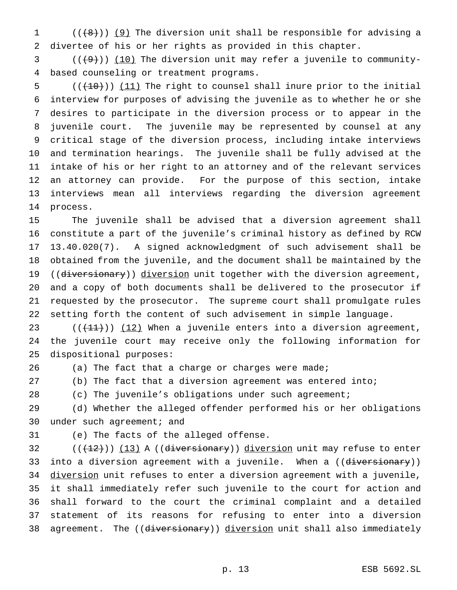1  $((+8))$  (9) The diversion unit shall be responsible for advising a divertee of his or her rights as provided in this chapter.

 $(1, 9)$  (( $(9)$ )) (10) The diversion unit may refer a juvenile to community-based counseling or treatment programs.

 ( $(\overline{+10})$ ) (11) The right to counsel shall inure prior to the initial interview for purposes of advising the juvenile as to whether he or she desires to participate in the diversion process or to appear in the juvenile court. The juvenile may be represented by counsel at any critical stage of the diversion process, including intake interviews and termination hearings. The juvenile shall be fully advised at the intake of his or her right to an attorney and of the relevant services an attorney can provide. For the purpose of this section, intake interviews mean all interviews regarding the diversion agreement process.

 The juvenile shall be advised that a diversion agreement shall constitute a part of the juvenile's criminal history as defined by RCW 13.40.020(7). A signed acknowledgment of such advisement shall be obtained from the juvenile, and the document shall be maintained by the 19 ((diversionary)) diversion unit together with the diversion agreement, and a copy of both documents shall be delivered to the prosecutor if requested by the prosecutor. The supreme court shall promulgate rules setting forth the content of such advisement in simple language.

23  $((+11))$   $(12)$  When a juvenile enters into a diversion agreement, the juvenile court may receive only the following information for dispositional purposes:

26 (a) The fact that a charge or charges were made;

(b) The fact that a diversion agreement was entered into;

(c) The juvenile's obligations under such agreement;

 (d) Whether the alleged offender performed his or her obligations under such agreement; and

(e) The facts of the alleged offense.

32  $((+12))$   $(13)$  A ((diversionary)) diversion unit may refuse to enter 33 into a diversion agreement with a juvenile. When a ((diversionary)) 34 diversion unit refuses to enter a diversion agreement with a juvenile, it shall immediately refer such juvenile to the court for action and shall forward to the court the criminal complaint and a detailed statement of its reasons for refusing to enter into a diversion 38 agreement. The ((diversionary)) diversion unit shall also immediately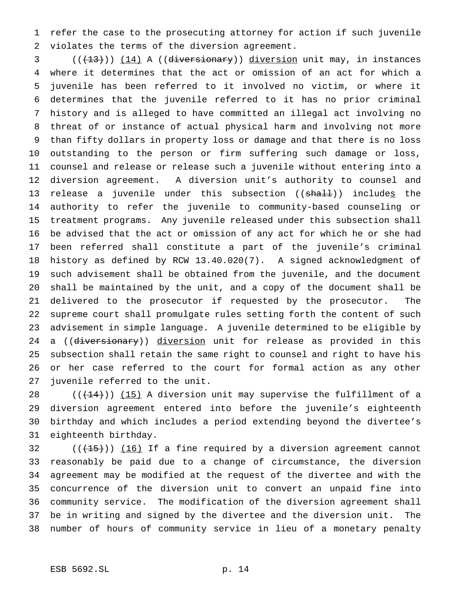refer the case to the prosecuting attorney for action if such juvenile violates the terms of the diversion agreement.

3 (((13))) (14) A ((diversionary)) diversion unit may, in instances where it determines that the act or omission of an act for which a juvenile has been referred to it involved no victim, or where it determines that the juvenile referred to it has no prior criminal history and is alleged to have committed an illegal act involving no threat of or instance of actual physical harm and involving not more than fifty dollars in property loss or damage and that there is no loss outstanding to the person or firm suffering such damage or loss, counsel and release or release such a juvenile without entering into a diversion agreement. A diversion unit's authority to counsel and 13 release a juvenile under this subsection ((shall)) includes the authority to refer the juvenile to community-based counseling or treatment programs. Any juvenile released under this subsection shall be advised that the act or omission of any act for which he or she had been referred shall constitute a part of the juvenile's criminal history as defined by RCW 13.40.020(7). A signed acknowledgment of such advisement shall be obtained from the juvenile, and the document shall be maintained by the unit, and a copy of the document shall be delivered to the prosecutor if requested by the prosecutor. The supreme court shall promulgate rules setting forth the content of such advisement in simple language. A juvenile determined to be eligible by 24 a ((diversionary)) diversion unit for release as provided in this subsection shall retain the same right to counsel and right to have his or her case referred to the court for formal action as any other juvenile referred to the unit.

 $((+14))$   $(15)$  A diversion unit may supervise the fulfillment of a diversion agreement entered into before the juvenile's eighteenth birthday and which includes a period extending beyond the divertee's eighteenth birthday.

 $((+15))$   $(16)$  If a fine required by a diversion agreement cannot reasonably be paid due to a change of circumstance, the diversion agreement may be modified at the request of the divertee and with the concurrence of the diversion unit to convert an unpaid fine into community service. The modification of the diversion agreement shall be in writing and signed by the divertee and the diversion unit. The number of hours of community service in lieu of a monetary penalty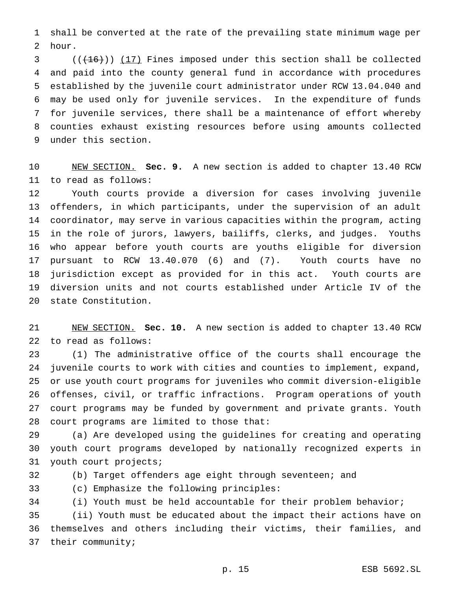shall be converted at the rate of the prevailing state minimum wage per hour.

3 (( $(16)$ )) (17) Fines imposed under this section shall be collected and paid into the county general fund in accordance with procedures established by the juvenile court administrator under RCW 13.04.040 and may be used only for juvenile services. In the expenditure of funds for juvenile services, there shall be a maintenance of effort whereby counties exhaust existing resources before using amounts collected under this section.

 NEW SECTION. **Sec. 9.** A new section is added to chapter 13.40 RCW to read as follows:

 Youth courts provide a diversion for cases involving juvenile offenders, in which participants, under the supervision of an adult coordinator, may serve in various capacities within the program, acting in the role of jurors, lawyers, bailiffs, clerks, and judges. Youths who appear before youth courts are youths eligible for diversion pursuant to RCW 13.40.070 (6) and (7). Youth courts have no jurisdiction except as provided for in this act. Youth courts are diversion units and not courts established under Article IV of the state Constitution.

 NEW SECTION. **Sec. 10.** A new section is added to chapter 13.40 RCW to read as follows:

 (1) The administrative office of the courts shall encourage the juvenile courts to work with cities and counties to implement, expand, or use youth court programs for juveniles who commit diversion-eligible offenses, civil, or traffic infractions. Program operations of youth court programs may be funded by government and private grants. Youth court programs are limited to those that:

 (a) Are developed using the guidelines for creating and operating youth court programs developed by nationally recognized experts in youth court projects;

(b) Target offenders age eight through seventeen; and

(c) Emphasize the following principles:

(i) Youth must be held accountable for their problem behavior;

 (ii) Youth must be educated about the impact their actions have on themselves and others including their victims, their families, and their community;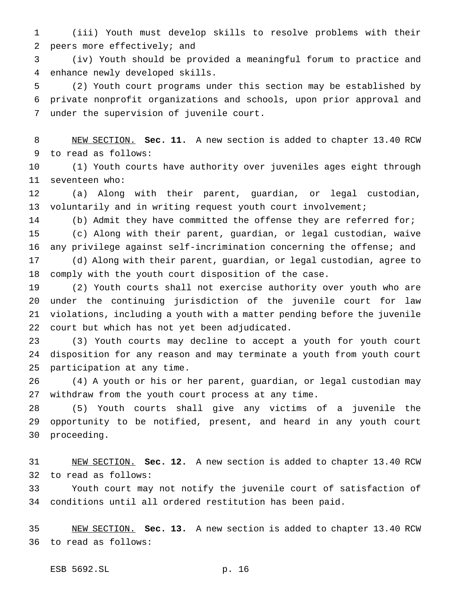(iii) Youth must develop skills to resolve problems with their peers more effectively; and

 (iv) Youth should be provided a meaningful forum to practice and enhance newly developed skills.

 (2) Youth court programs under this section may be established by private nonprofit organizations and schools, upon prior approval and under the supervision of juvenile court.

 NEW SECTION. **Sec. 11.** A new section is added to chapter 13.40 RCW to read as follows:

 (1) Youth courts have authority over juveniles ages eight through seventeen who:

 (a) Along with their parent, guardian, or legal custodian, 13 voluntarily and in writing request youth court involvement;

14 (b) Admit they have committed the offense they are referred for;

 (c) Along with their parent, guardian, or legal custodian, waive any privilege against self-incrimination concerning the offense; and

 (d) Along with their parent, guardian, or legal custodian, agree to comply with the youth court disposition of the case.

 (2) Youth courts shall not exercise authority over youth who are under the continuing jurisdiction of the juvenile court for law violations, including a youth with a matter pending before the juvenile court but which has not yet been adjudicated.

 (3) Youth courts may decline to accept a youth for youth court disposition for any reason and may terminate a youth from youth court participation at any time.

 (4) A youth or his or her parent, guardian, or legal custodian may withdraw from the youth court process at any time.

 (5) Youth courts shall give any victims of a juvenile the opportunity to be notified, present, and heard in any youth court proceeding.

 NEW SECTION. **Sec. 12.** A new section is added to chapter 13.40 RCW to read as follows:

 Youth court may not notify the juvenile court of satisfaction of conditions until all ordered restitution has been paid.

 NEW SECTION. **Sec. 13.** A new section is added to chapter 13.40 RCW to read as follows:

ESB 5692.SL p. 16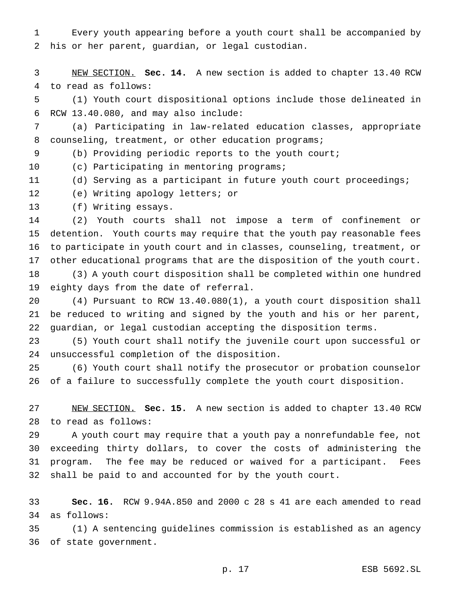Every youth appearing before a youth court shall be accompanied by his or her parent, guardian, or legal custodian.

 NEW SECTION. **Sec. 14.** A new section is added to chapter 13.40 RCW to read as follows:

 (1) Youth court dispositional options include those delineated in RCW 13.40.080, and may also include:

 (a) Participating in law-related education classes, appropriate 8 counseling, treatment, or other education programs;

(b) Providing periodic reports to the youth court;

10 (c) Participating in mentoring programs;

(d) Serving as a participant in future youth court proceedings;

(e) Writing apology letters; or

(f) Writing essays.

 (2) Youth courts shall not impose a term of confinement or detention. Youth courts may require that the youth pay reasonable fees to participate in youth court and in classes, counseling, treatment, or other educational programs that are the disposition of the youth court.

 (3) A youth court disposition shall be completed within one hundred eighty days from the date of referral.

 (4) Pursuant to RCW 13.40.080(1), a youth court disposition shall be reduced to writing and signed by the youth and his or her parent, guardian, or legal custodian accepting the disposition terms.

 (5) Youth court shall notify the juvenile court upon successful or unsuccessful completion of the disposition.

 (6) Youth court shall notify the prosecutor or probation counselor of a failure to successfully complete the youth court disposition.

 NEW SECTION. **Sec. 15.** A new section is added to chapter 13.40 RCW to read as follows:

 A youth court may require that a youth pay a nonrefundable fee, not exceeding thirty dollars, to cover the costs of administering the program. The fee may be reduced or waived for a participant. Fees shall be paid to and accounted for by the youth court.

 **Sec. 16.** RCW 9.94A.850 and 2000 c 28 s 41 are each amended to read as follows:

 (1) A sentencing guidelines commission is established as an agency of state government.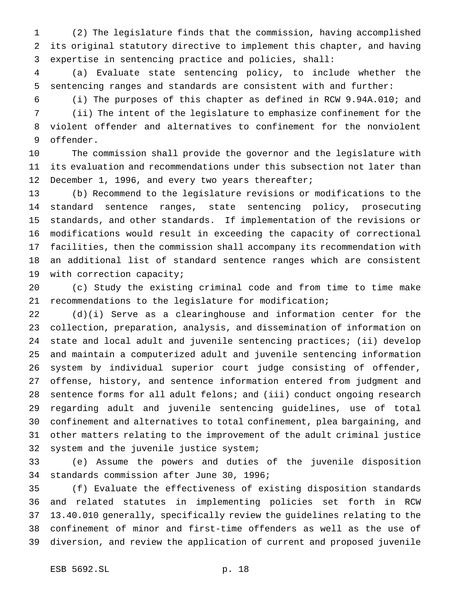(2) The legislature finds that the commission, having accomplished its original statutory directive to implement this chapter, and having expertise in sentencing practice and policies, shall:

 (a) Evaluate state sentencing policy, to include whether the sentencing ranges and standards are consistent with and further:

 (i) The purposes of this chapter as defined in RCW 9.94A.010; and (ii) The intent of the legislature to emphasize confinement for the violent offender and alternatives to confinement for the nonviolent offender.

 The commission shall provide the governor and the legislature with its evaluation and recommendations under this subsection not later than 12 December 1, 1996, and every two years thereafter;

 (b) Recommend to the legislature revisions or modifications to the standard sentence ranges, state sentencing policy, prosecuting standards, and other standards. If implementation of the revisions or modifications would result in exceeding the capacity of correctional facilities, then the commission shall accompany its recommendation with an additional list of standard sentence ranges which are consistent with correction capacity;

 (c) Study the existing criminal code and from time to time make recommendations to the legislature for modification;

 (d)(i) Serve as a clearinghouse and information center for the collection, preparation, analysis, and dissemination of information on state and local adult and juvenile sentencing practices; (ii) develop and maintain a computerized adult and juvenile sentencing information system by individual superior court judge consisting of offender, offense, history, and sentence information entered from judgment and 28 sentence forms for all adult felons; and (iii) conduct ongoing research regarding adult and juvenile sentencing guidelines, use of total confinement and alternatives to total confinement, plea bargaining, and other matters relating to the improvement of the adult criminal justice system and the juvenile justice system;

 (e) Assume the powers and duties of the juvenile disposition standards commission after June 30, 1996;

 (f) Evaluate the effectiveness of existing disposition standards and related statutes in implementing policies set forth in RCW 13.40.010 generally, specifically review the guidelines relating to the confinement of minor and first-time offenders as well as the use of diversion, and review the application of current and proposed juvenile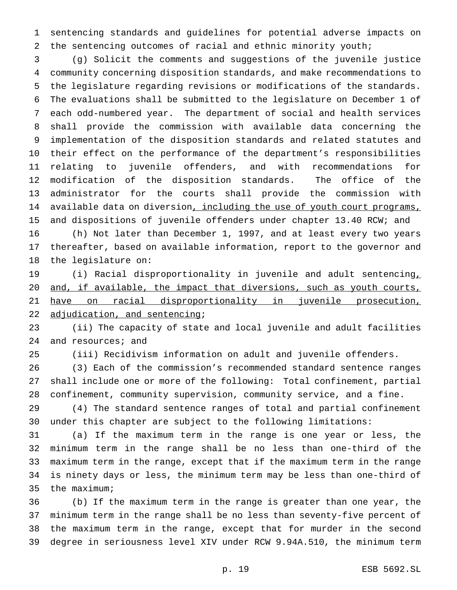sentencing standards and guidelines for potential adverse impacts on the sentencing outcomes of racial and ethnic minority youth;

 (g) Solicit the comments and suggestions of the juvenile justice community concerning disposition standards, and make recommendations to the legislature regarding revisions or modifications of the standards. The evaluations shall be submitted to the legislature on December 1 of each odd-numbered year. The department of social and health services shall provide the commission with available data concerning the implementation of the disposition standards and related statutes and their effect on the performance of the department's responsibilities relating to juvenile offenders, and with recommendations for modification of the disposition standards. The office of the administrator for the courts shall provide the commission with 14 available data on diversion, including the use of youth court programs, and dispositions of juvenile offenders under chapter 13.40 RCW; and

 (h) Not later than December 1, 1997, and at least every two years thereafter, based on available information, report to the governor and the legislature on:

19 (i) Racial disproportionality in juvenile and adult sentencing, 20 and, if available, the impact that diversions, such as youth courts, have on racial disproportionality in juvenile prosecution, 22 adjudication, and sentencing;

 (ii) The capacity of state and local juvenile and adult facilities and resources; and

(iii) Recidivism information on adult and juvenile offenders.

 (3) Each of the commission's recommended standard sentence ranges shall include one or more of the following: Total confinement, partial confinement, community supervision, community service, and a fine.

 (4) The standard sentence ranges of total and partial confinement under this chapter are subject to the following limitations:

 (a) If the maximum term in the range is one year or less, the minimum term in the range shall be no less than one-third of the maximum term in the range, except that if the maximum term in the range is ninety days or less, the minimum term may be less than one-third of the maximum;

 (b) If the maximum term in the range is greater than one year, the minimum term in the range shall be no less than seventy-five percent of the maximum term in the range, except that for murder in the second degree in seriousness level XIV under RCW 9.94A.510, the minimum term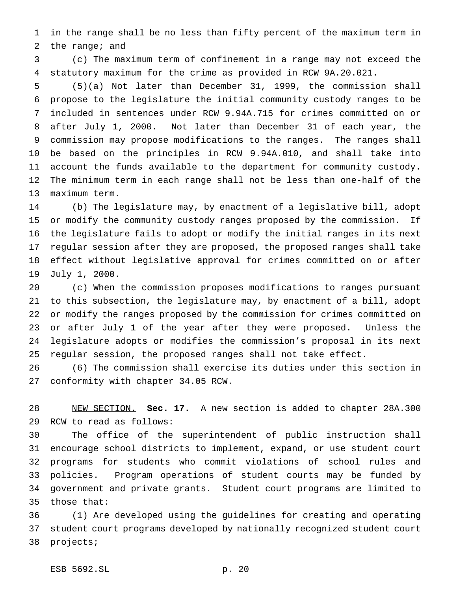in the range shall be no less than fifty percent of the maximum term in the range; and

 (c) The maximum term of confinement in a range may not exceed the statutory maximum for the crime as provided in RCW 9A.20.021.

 (5)(a) Not later than December 31, 1999, the commission shall propose to the legislature the initial community custody ranges to be included in sentences under RCW 9.94A.715 for crimes committed on or after July 1, 2000. Not later than December 31 of each year, the commission may propose modifications to the ranges. The ranges shall be based on the principles in RCW 9.94A.010, and shall take into account the funds available to the department for community custody. The minimum term in each range shall not be less than one-half of the maximum term.

 (b) The legislature may, by enactment of a legislative bill, adopt or modify the community custody ranges proposed by the commission. If the legislature fails to adopt or modify the initial ranges in its next regular session after they are proposed, the proposed ranges shall take effect without legislative approval for crimes committed on or after July 1, 2000.

 (c) When the commission proposes modifications to ranges pursuant to this subsection, the legislature may, by enactment of a bill, adopt or modify the ranges proposed by the commission for crimes committed on or after July 1 of the year after they were proposed. Unless the legislature adopts or modifies the commission's proposal in its next regular session, the proposed ranges shall not take effect.

 (6) The commission shall exercise its duties under this section in conformity with chapter 34.05 RCW.

 NEW SECTION. **Sec. 17.** A new section is added to chapter 28A.300 RCW to read as follows:

 The office of the superintendent of public instruction shall encourage school districts to implement, expand, or use student court programs for students who commit violations of school rules and policies. Program operations of student courts may be funded by government and private grants. Student court programs are limited to those that:

 (1) Are developed using the guidelines for creating and operating student court programs developed by nationally recognized student court projects;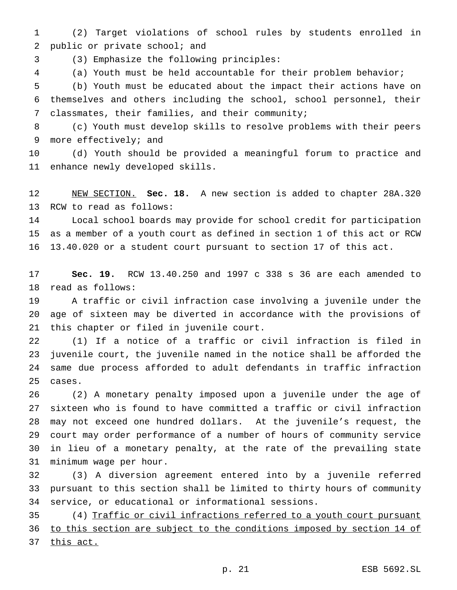(2) Target violations of school rules by students enrolled in public or private school; and

(3) Emphasize the following principles:

(a) Youth must be held accountable for their problem behavior;

 (b) Youth must be educated about the impact their actions have on themselves and others including the school, school personnel, their classmates, their families, and their community;

 (c) Youth must develop skills to resolve problems with their peers more effectively; and

 (d) Youth should be provided a meaningful forum to practice and enhance newly developed skills.

 NEW SECTION. **Sec. 18.** A new section is added to chapter 28A.320 RCW to read as follows:

 Local school boards may provide for school credit for participation as a member of a youth court as defined in section 1 of this act or RCW 13.40.020 or a student court pursuant to section 17 of this act.

 **Sec. 19.** RCW 13.40.250 and 1997 c 338 s 36 are each amended to read as follows:

 A traffic or civil infraction case involving a juvenile under the age of sixteen may be diverted in accordance with the provisions of this chapter or filed in juvenile court.

 (1) If a notice of a traffic or civil infraction is filed in juvenile court, the juvenile named in the notice shall be afforded the same due process afforded to adult defendants in traffic infraction cases.

 (2) A monetary penalty imposed upon a juvenile under the age of sixteen who is found to have committed a traffic or civil infraction may not exceed one hundred dollars. At the juvenile's request, the court may order performance of a number of hours of community service in lieu of a monetary penalty, at the rate of the prevailing state minimum wage per hour.

 (3) A diversion agreement entered into by a juvenile referred pursuant to this section shall be limited to thirty hours of community service, or educational or informational sessions.

 (4) Traffic or civil infractions referred to a youth court pursuant to this section are subject to the conditions imposed by section 14 of this act.